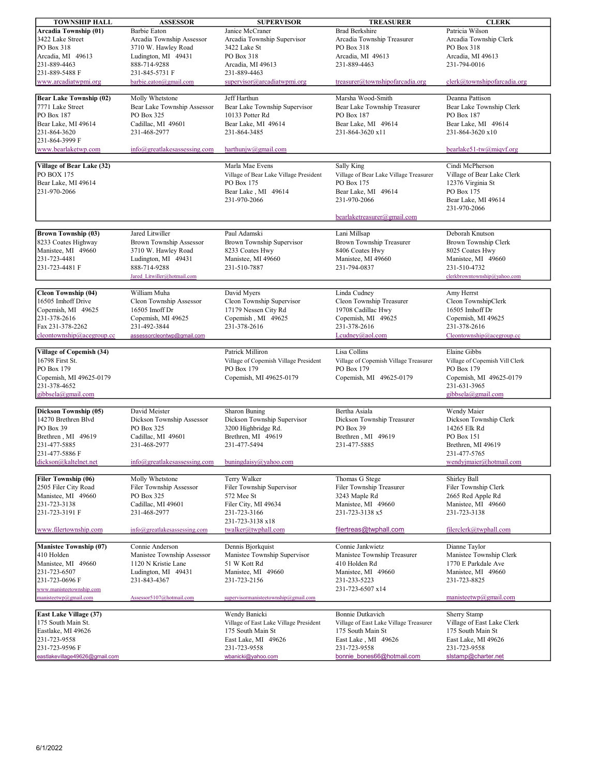| <b>TOWNSHIP HALL</b>             | <b>ASSESSOR</b>                         | <b>SUPERVISOR</b>                         | <b>TREASURER</b>                        | <b>CLERK</b>                   |
|----------------------------------|-----------------------------------------|-------------------------------------------|-----------------------------------------|--------------------------------|
| Arcadia Township (01)            | Barbie Eaton                            | Janice McCraner                           | <b>Brad Berkshire</b>                   | Patricia Wilson                |
| 3422 Lake Street                 | Arcadia Township Assessor               | Arcadia Township Supervisor               | Arcadia Township Treasurer              | Arcadia Township Clerk         |
| PO Box 318                       | 3710 W. Hawley Road                     | 3422 Lake St                              | PO Box 318                              | PO Box 318                     |
| Arcadia, MI 49613                | Ludington, MI 49431                     | PO Box 318                                | Arcadia, MI 49613                       | Arcadia, MI 49613              |
| 231-889-4463                     | 888-714-9288                            | Arcadia, MI 49613                         | 231-889-4463                            | 231-794-0016                   |
| 231-889-5488 F                   | 231-845-5731 F                          | 231-889-4463                              |                                         |                                |
|                                  |                                         | supervisor@arcadiatwpmi.org               | treasurer@townshipofarcadia.org         | clerk@townshipofarcadia.org    |
| www.arcadiatwpmi.org             | barbie.eaton@gmail.com                  |                                           |                                         |                                |
|                                  |                                         | Jeff Harthun                              | Marsha Wood-Smith                       | Deanna Pattison                |
| <b>Bear Lake Township (02)</b>   | Molly Whetstone                         |                                           |                                         |                                |
| 7771 Lake Street                 | Bear Lake Township Assessor             | Bear Lake Township Supervisor             | Bear Lake Township Treasurer            | Bear Lake Township Clerk       |
| PO Box 187                       | PO Box 325                              | 10133 Potter Rd                           | PO Box 187                              | PO Box 187                     |
| Bear Lake, MI 49614              | Cadillac, MI 49601                      | Bear Lake, MI 49614                       | Bear Lake, MI 49614                     | Bear Lake, MI 49614            |
| 231-864-3620                     | 231-468-2977                            | 231-864-3485                              | 231-864-3620 x11                        | 231-864-3620 x10               |
| 231-864-3999 F                   |                                         |                                           |                                         |                                |
| www.bearlaketwp.com              | $info(\omega)$ greatlakesassessing.com  | harthunjw@gmail.com                       |                                         | bearlake51-tw@miqvf.org        |
|                                  |                                         |                                           |                                         |                                |
| Village of Bear Lake (32)        |                                         | Marla Mae Evens                           | Sally King                              | Cindi McPherson                |
| PO BOX 175                       |                                         | Village of Bear Lake Village President    | Village of Bear Lake Village Treasurer  | Village of Bear Lake Clerk     |
| Bear Lake, MI 49614              |                                         | PO Box 175                                | PO Box 175                              | 12376 Virginia St              |
| 231-970-2066                     |                                         | Bear Lake, MI 49614                       | Bear Lake, MI 49614                     | PO Box 175                     |
|                                  |                                         | 231-970-2066                              | 231-970-2066                            | Bear Lake, MI 49614            |
|                                  |                                         |                                           |                                         | 231-970-2066                   |
|                                  |                                         |                                           | bearlaketreasurer@gmail.com             |                                |
|                                  |                                         |                                           |                                         |                                |
| <b>Brown Township (03)</b>       | Jared Litwiller                         | Paul Adamski                              | Lani Millsap                            | Deborah Knutson                |
| 8233 Coates Highway              | Brown Township Assessor                 | Brown Township Supervisor                 | Brown Township Treasurer                | Brown Township Clerk           |
| Manistee, MI 49660               | 3710 W. Hawley Road                     | 8233 Coates Hwy                           | 8406 Coates Hwy                         | 8025 Coates Hwy                |
| 231-723-4481                     | Ludington, MI 49431                     | Manistee, MI 49660                        | Manistee, MI 49660                      | Manistee, MI 49660             |
| 231-723-4481 F                   | 888-714-9288                            | 231-510-7887                              | 231-794-0837                            | 231-510-4732                   |
|                                  | Jared Litwiller@hotmail.com             |                                           |                                         | clerkbrowntownship@yahoo.com   |
|                                  |                                         |                                           |                                         |                                |
| Cleon Township (04)              | William Muha                            | David Myers                               | Linda Cudney                            | Amy Herrst                     |
| 16505 Imhoff Drive               | Cleon Township Assessor                 | Cleon Township Supervisor                 | Cleon Township Treasurer                | Cleon TownshipClerk            |
| Copemish, MI 49625               | 16505 Imoff Dr                          | 17179 Nessen City Rd                      | 19708 Cadillac Hwy                      | 16505 Imhoff Dr                |
| 231-378-2616                     | Copemish, MI 49625                      | Copemish, MI 49625                        | Copemish, MI 49625                      | Copemish, MI 49625             |
| Fax 231-378-2262                 | 231-492-3844                            | 231-378-2616                              | 231-378-2616                            | 231-378-2616                   |
| cleontownship@acegroup.cc        | assessorcleontwp@gmail.com              |                                           | Lcudney@aol.com                         | Cleontownship@acegroup.cc      |
|                                  |                                         |                                           |                                         |                                |
| <b>Village of Copemish (34)</b>  |                                         | Patrick Milliron                          | Lisa Collins                            | Elaine Gibbs                   |
| 16798 First St.                  |                                         | Village of Copemish Village President     | Village of Copemish Village Treasurer   | Village of Copemish Vill Clerk |
| PO Box 179                       |                                         | PO Box 179                                | PO Box 179                              | PO Box 179                     |
| Copemish, MI 49625-0179          |                                         | Copemish, MI 49625-0179                   | Copemish, MI 49625-0179                 | Copemish, MI 49625-0179        |
| 231-378-4652                     |                                         |                                           |                                         | 231-631-3965                   |
| gibbsela@gmail.com               |                                         |                                           |                                         | gibbsela@gmail.com             |
|                                  | David Meister                           |                                           |                                         |                                |
| Dickson Township (05)            |                                         | <b>Sharon Buning</b>                      | Bertha Asiala                           | Wendy Maier                    |
| 14270 Brethren Blvd<br>PO Box 39 | Dickson Township Assessor<br>PO Box 325 | Dickson Township Supervisor               | Dickson Township Treasurer<br>PO Box 39 | Dickson Township Clerk         |
|                                  | Cadillac, MI 49601                      | 3200 Highbridge Rd.<br>Brethren, MI 49619 | Brethren MI 49619                       | 14265 Elk Rd                   |
| Brethren, MI 49619               |                                         |                                           |                                         | PO Box 151                     |
| 231-477-5885                     | 231-468-2977                            | 231-477-5494                              | 231-477-5885                            | Brethren, MI 49619             |
| 231-477-5886 F                   |                                         |                                           |                                         | 231-477-5765                   |
| dickson@kaltelnet.net            | $info(\alpha)$ greatlakesassessing.com  | buningdaisy@yahoo.com                     |                                         | wendyjmaier@hotmail.com        |
| Filer Township (06)              | Molly Whetstone                         | Terry Walker                              | Thomas G Stege                          | Shirley Ball                   |
| 2505 Filer City Road             | Filer Township Assessor                 | Filer Township Supervisor                 | Filer Township Treasurer                | Filer Township Clerk           |
| Manistee, MI 49660               | PO Box 325                              | 572 Mee St                                | 3243 Maple Rd                           | 2665 Red Apple Rd              |
| 231-723-3138                     | Cadillac, MI 49601                      | Filer City, MI 49634                      | Manistee, MI 49660                      | Manistee, MI 49660             |
| 231-723-3191 F                   | 231-468-2977                            | 231-723-3166                              | 231-723-3138 x5                         | 231-723-3138                   |
|                                  |                                         | 231-723-3138 x18                          |                                         |                                |
| www.filertownship.com            | info@greatlakesassessing.com            | twalker@twphall.com                       | filertreas@twphall.com                  | filerclerk@twphall.com         |
|                                  |                                         |                                           |                                         |                                |
| <b>Manistee Township (07)</b>    | Connie Anderson                         | Dennis Bjorkquist                         | Connie Jankwietz                        | Dianne Taylor                  |
| 410 Holden                       | Manistee Township Assessor              | Manistee Township Supervisor              | Manistee Township Treasurer             | Manistee Township Clerk        |
| Manistee, MI 49660               | 1120 N Kristie Lane                     | 51 W Kott Rd                              | 410 Holden Rd                           | 1770 E Parkdale Ave            |
| 231-723-6507                     | Ludington, MI 49431                     | Manistee, MI 49660                        | Manistee, MI 49660                      | Manistee, MI 49660             |
| 231-723-0696 F                   | 231-843-4367                            | 231-723-2156                              | 231-233-5223                            | 231-723-8825                   |
| www.manisteetownship.com         |                                         |                                           | 231-723-6507 x14                        |                                |
| manisteetwp@gmail.com            | Assessor5107@hotmail.com                | supervisormanisteetownship@gmail.com      |                                         | manisteetwp@gmail.com          |
|                                  |                                         |                                           |                                         |                                |
| East Lake Village (37)           |                                         | Wendy Banicki                             | <b>Bonnie Dutkavich</b>                 | Sherry Stamp                   |
| 175 South Main St.               |                                         | Village of East Lake Village President    | Village of East Lake Village Treasurer  | Village of East Lake Clerk     |
| Eastlake, MI 49626               |                                         | 175 South Main St                         | 175 South Main St                       | 175 South Main St              |
| 231-723-9558                     |                                         | East Lake, MI 49626                       | East Lake, MI 49626                     | East Lake, MI 49626            |
| 231-723-9596 F                   |                                         | 231-723-9558                              | 231-723-9558                            | 231-723-9558                   |
| eastlakevillage49626@gmail.com   |                                         | wbanicki@yahoo.com                        | bonnie bones66@hotmail.com              | slstamp@charter.net            |